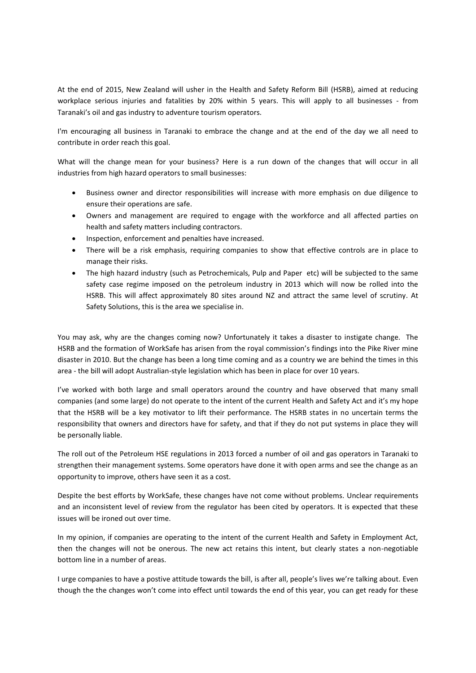At the end of 2015, New Zealand will usher in the Health and Safety Reform Bill (HSRB), aimed at reducing workplace serious injuries and fatalities by 20% within 5 years. This will apply to all businesses - from Taranaki's oil and gas industry to adventure tourism operators.

I'm encouraging all business in Taranaki to embrace the change and at the end of the day we all need to contribute in order reach this goal.

What will the change mean for your business? Here is a run down of the changes that will occur in all industries from high hazard operators to small businesses:

- Business owner and director responsibilities will increase with more emphasis on due diligence to ensure their operations are safe.
- Owners and management are required to engage with the workforce and all affected parties on health and safety matters including contractors.
- Inspection, enforcement and penalties have increased.
- There will be a risk emphasis, requiring companies to show that effective controls are in place to manage their risks.
- The high hazard industry (such as Petrochemicals, Pulp and Paper etc) will be subjected to the same safety case regime imposed on the petroleum industry in 2013 which will now be rolled into the HSRB. This will affect approximately 80 sites around NZ and attract the same level of scrutiny. At Safety Solutions, this is the area we specialise in.

You may ask, why are the changes coming now? Unfortunately it takes a disaster to instigate change. The HSRB and the formation of WorkSafe has arisen from the royal commission's findings into the Pike River mine disaster in 2010. But the change has been a long time coming and as a country we are behind the times in this area - the bill will adopt Australian-style legislation which has been in place for over 10 years.

I've worked with both large and small operators around the country and have observed that many small companies (and some large) do not operate to the intent of the current Health and Safety Act and it's my hope that the HSRB will be a key motivator to lift their performance. The HSRB states in no uncertain terms the responsibility that owners and directors have for safety, and that if they do not put systems in place they will be personally liable.

The roll out of the Petroleum HSE regulations in 2013 forced a number of oil and gas operators in Taranaki to strengthen their management systems. Some operators have done it with open arms and see the change as an opportunity to improve, others have seen it as a cost.

Despite the best efforts by WorkSafe, these changes have not come without problems. Unclear requirements and an inconsistent level of review from the regulator has been cited by operators. It is expected that these issues will be ironed out over time.

In my opinion, if companies are operating to the intent of the current Health and Safety in Employment Act, then the changes will not be onerous. The new act retains this intent, but clearly states a non-negotiable bottom line in a number of areas.

I urge companies to have a postive attitude towards the bill, is after all, people's lives we're talking about. Even though the the changes won't come into effect until towards the end of this year, you can get ready for these